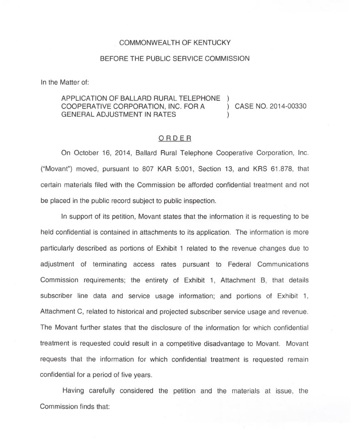## COMMONWEALTH OF KENTUCKY

## BEFORE THE PUBLIC SERVICE COMMISSION

In the Matter of:

## APPLICATION OF BALLARD RURAL TELEPHONE COOPERATIVE CORPORATION, INC. FOR <sup>A</sup> ) CASE NO. 2014-00330 GENERAL ADJUSTMENT IN RATES

## ORDER

On October 16, 2014, Ballard Rural Telephone Cooperative Corporation, Inc. ("Movant") moved, pursuant to 807 KAR 5:001, Section 13, and KRS  $61.878$ , that certain materials filed with the Commission be afforded confidential treatment and not be placed in the public record subject to public inspection.

In support of its petition, Movant states that the information it is requesting to be held confidential is contained in attachments to its application. The information is more particularly described as portions of Exhibit <sup>1</sup> related to the revenue changes due to adjustment of terminating access rates pursuant to Federal Communications Commission requirements; the entirety of Exhibit 1, Attachment B, that details subscriber line data and service usage information; and portions of Exhibit 1, Attachment C, related to historical and projected subscriber service usage and revenue. The Movant further states that the disclosure of the information for which confidential treatment is requested could result in a competitive disadvantage to Movant. Movant requests that the information for which confidential treatment is requested remain confidential for a period of five years.

Having carefully considered the petition and the materials at issue, the Commission finds that: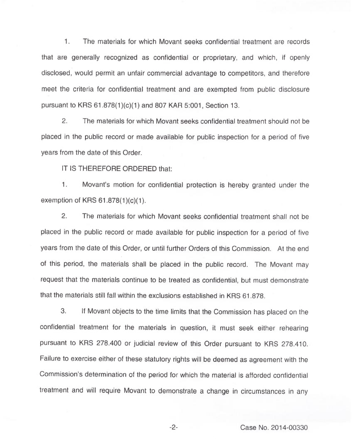1. The materials for which Movant seeks confidential treatment are records that are generally recognized as confidential or proprietary, and which, if openly disclosed, would permit an unfair commercial advantage to competitors, and therefore meet the criteria for confidential treatment and are exempted from public disclosure pursuant to KRS 61.878(1)(c)(1) and 807 KAR 5:001, Section 13.

2. The materials for which Movant seeks confidential treatment should not be placed in the public record or made available for public inspection for a period of five years from the date of this Order.

IT IS THEREFORE ORDERED that:

 $1.$ Movant's motion for confidential protection is hereby granted under the exemption of KRS 61.878(1)(c)(1).

2. The materials for which Movant seeks confidential treatment shall not be placed in the public record or made available for public inspection for a period of five years from the date of this Order, or until further Orders of this Commission. At the end of this period, the materials shall be placed in the public record. The Movant may request that the materials continue to be treated as confidential, but must demonstrate that the materials still fall within the exclusions established in KRS 61.878.

3. If Movant objects to the time limits that the Commission has placed on the confidential treatment for the materials in question, it must seek either rehearing pursuant to KRS 278.400 or judicial review of this Order pursuant to KRS 278.410. Failure to exercise either of these statutory rights will be deemed as agreement with the Commission's determination of the period for which the material is afforded confidential treatment and will require Movant to demonstrate a change in circumstances in any

-2- Case No. 2014-00330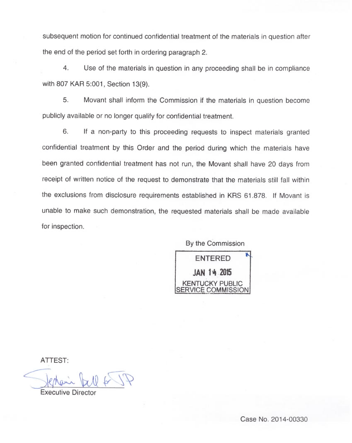subsequent motion for continued confidential treatment of the materials in question after the end of the period set forth in ordering paragraph 2.

4. Use of the materials in question in any proceeding shall be in compliance with 807 KAR 5:001, Section 13(9).

5. Movant shall inform the Commission if the materials in question become publicly available or no longer qualify for confidential treatment.

6. If a non-party to this proceeding requests to inspect materials granted confidential treatment by this Order and the period during which the materials have been granted confidential treatment has not run, the Movant shall have 20 days from receipt of written notice of the request to demonstrate that the materials still fall within the exclusions from disclosure requirements established in KRS 61.878. If Movant is unable to make such demonstration, the requested materials shall be made available for inspection.

By the Commission



ATTEST:

Executive Director